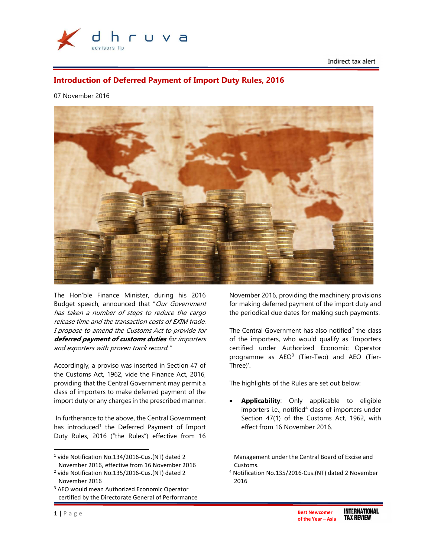

Indirect tax alert

# Introduction of Deferred Payment of Import Duty Rules, 2016

07 November 2016



The Hon'ble Finance Minister, during his 2016 Budget speech, announced that "Our Government has taken a number of steps to reduce the cargo release time and the transaction costs of EXIM trade. I propose to amend the Customs Act to provide for deferred payment of customs duties for importers and exporters with proven track record."

Accordingly, a proviso was inserted in Section 47 of the Customs Act, 1962, vide the Finance Act, 2016, providing that the Central Government may permit a class of importers to make deferred payment of the import duty or any charges in the prescribed manner.

 In furtherance to the above, the Central Government has introduced<sup>1</sup> the Deferred Payment of Import Duty Rules, 2016 ("the Rules") effective from 16

<sup>1</sup> vide Notification No.134/2016-Cus.(NT) dated 2 November 2016, effective from 16 November 2016 November 2016, providing the machinery provisions for making deferred payment of the import duty and the periodical due dates for making such payments.

The Central Government has also notified<sup>2</sup> the class of the importers, who would qualify as 'Importers certified under Authorized Economic Operator programme as AEO<sup>3</sup> (Tier-Two) and AEO (Tier-Three)'.

The highlights of the Rules are set out below:

Applicability: Only applicable to eligible importers i.e., notified<sup>4</sup> class of importers under Section 47(1) of the Customs Act, 1962, with effect from 16 November 2016.

Management under the Central Board of Excise and Customs.

4 Notification No.135/2016-Cus.(NT) dated 2 November 2016

l

<sup>2</sup> vide Notification No.135/2016-Cus.(NT) dated 2 November 2016

<sup>&</sup>lt;sup>3</sup> AEO would mean Authorized Economic Operator certified by the Directorate General of Performance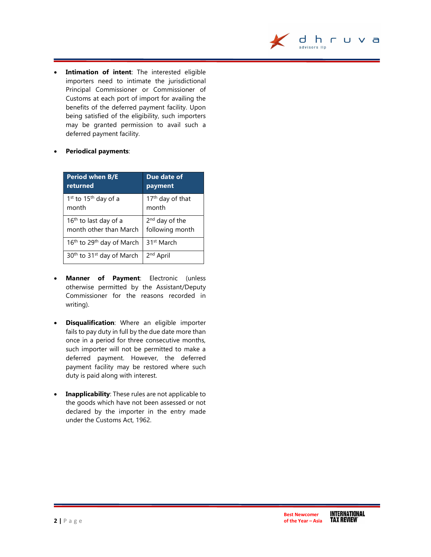

**Intimation of intent**: The interested eligible importers need to intimate the jurisdictional Principal Commissioner or Commissioner of Customs at each port of import for availing the benefits of the deferred payment facility. Upon being satisfied of the eligibility, such importers may be granted permission to avail such a deferred payment facility.

## Periodical payments:

| <b>Period when B/E</b>                            | Due date of                  |
|---------------------------------------------------|------------------------------|
| returned                                          | payment                      |
| 1 <sup>st</sup> to 15 <sup>th</sup> day of a      | 17 <sup>th</sup> day of that |
| month                                             | month                        |
| 16 <sup>th</sup> to last day of a                 | 2 <sup>nd</sup> day of the   |
| month other than March                            | following month              |
| 16 <sup>th</sup> to 29 <sup>th</sup> day of March | 31 <sup>st</sup> March       |
| 30 <sup>th</sup> to 31 <sup>st</sup> day of March | 2 <sup>nd</sup> April        |

- Manner of Payment: Electronic (unless otherwise permitted by the Assistant/Deputy Commissioner for the reasons recorded in writing).
- **Disqualification**: Where an eligible importer fails to pay duty in full by the due date more than once in a period for three consecutive months, such importer will not be permitted to make a deferred payment. However, the deferred payment facility may be restored where such duty is paid along with interest.
- Inapplicability: These rules are not applicable to the goods which have not been assessed or not declared by the importer in the entry made under the Customs Act, 1962.